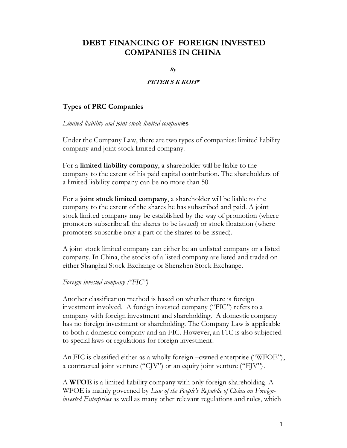# DEBT FINANCING OF FOREIGN INVESTED COMPANIES IN CHINA

 $B_V$ 

### PETER S K KOH\*

## Types of PRC Companies

Limited liability and joint stock limited companies

Under the Company Law, there are two types of companies: limited liability company and joint stock limited company.

For a limited liability company, a shareholder will be liable to the company to the extent of his paid capital contribution. The shareholders of a limited liability company can be no more than 50.

For a joint stock limited company, a shareholder will be liable to the company to the extent of the shares he has subscribed and paid. A joint stock limited company may be established by the way of promotion (where promoters subscribe all the shares to be issued) or stock floatation (where promoters subscribe only a part of the shares to be issued).

A joint stock limited company can either be an unlisted company or a listed company. In China, the stocks of a listed company are listed and traded on either Shanghai Stock Exchange or Shenzhen Stock Exchange.

## Foreign invested company ("FIC")

Another classification method is based on whether there is foreign investment involved. A foreign invested company ("FIC") refers to a company with foreign investment and shareholding. A domestic company has no foreign investment or shareholding. The Company Law is applicable to both a domestic company and an FIC. However, an FIC is also subjected to special laws or regulations for foreign investment.

An FIC is classified either as a wholly foreign –owned enterprise ("WFOE"), a contractual joint venture ("CJV") or an equity joint venture ("EJV").

A WFOE is a limited liability company with only foreign shareholding. A WFOE is mainly governed by *Law of the People's Republic of China on Foreigninvested Enterprises* as well as many other relevant regulations and rules, which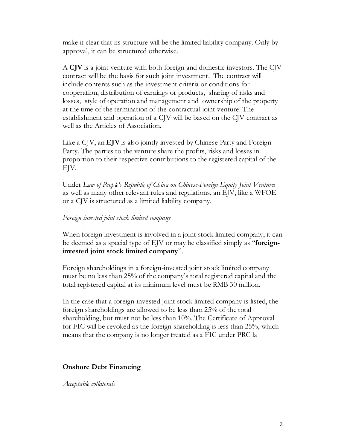make it clear that its structure will be the limited liability company. Only by approval, it can be structured otherwise.

A CJV is a joint venture with both foreign and domestic investors. The CJV contract will be the basis for such joint investment. The contract will include contents such as the investment criteria or conditions for cooperation, distribution of earnings or products, sharing of risks and losses, style of operation and management and ownership of the property at the time of the termination of the contractual joint venture. The establishment and operation of a CJV will be based on the CJV contract as well as the Articles of Association.

Like a CJV, an **EJV** is also jointly invested by Chinese Party and Foreign Party. The parties to the venture share the profits, risks and losses in proportion to their respective contributions to the registered capital of the EJV.

Under Law of People's Republic of China on Chinese-Foreign Equity Joint Ventures as well as many other relevant rules and regulations, an EJV, like a WFOE or a CJV is structured as a limited liability company.

## Foreign invested joint stock limited company

When foreign investment is involved in a joint stock limited company, it can be deemed as a special type of EJV or may be classified simply as "foreigninvested joint stock limited company".

Foreign shareholdings in a foreign-invested joint stock limited company must be no less than 25% of the company's total registered capital and the total registered capital at its minimum level must be RMB 30 million.

In the case that a foreign-invested joint stock limited company is listed, the foreign shareholdings are allowed to be less than 25% of the total shareholding, but must not be less than 10%. The Certificate of Approval for FIC will be revoked as the foreign shareholding is less than 25%, which means that the company is no longer treated as a FIC under PRC la

#### Onshore Debt Financing

Acceptable collaterals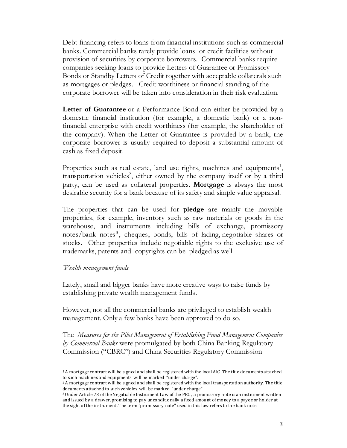Debt financing refers to loans from financial institutions such as commercial banks. Commercial banks rarely provide loans or credit facilities without provision of securities by corporate borrowers. Commercial banks require companies seeking loans to provide Letters of Guarantee or Promissory Bonds or Standby Letters of Credit together with acceptable collaterals such as mortgages or pledges. Credit worthiness or financial standing of the corporate borrower will be taken into consideration in their risk evaluation.

Letter of Guarantee or a Performance Bond can either be provided by a domestic financial institution (for example, a domestic bank) or a nonfinancial enterprise with credit worthiness (for example, the shareholder of the company). When the Letter of Guarantee is provided by a bank, the corporate borrower is usually required to deposit a substantial amount of cash as fixed deposit.

Properties such as real estate, land use rights, machines and equipments<sup>1</sup>, transportation vehicles<sup>2</sup>, either owned by the company itself or by a third party, can be used as collateral properties. Mortgage is always the most desirable security for a bank because of its safety and simple value appraisal.

The properties that can be used for **pledge** are mainly the movable properties, for example, inventory such as raw materials or goods in the warehouse, and instruments including bills of exchange, promissory notes/bank notes<sup>3</sup>, cheques, bonds, bills of lading, negotiable shares or stocks. Other properties include negotiable rights to the exclusive use of trademarks, patents and copyrights can be pledged as well.

#### Wealth management funds

 $\overline{a}$ 

Lately, small and bigger banks have more creative ways to raise funds by establishing private wealth management funds.

However, not all the commercial banks are privileged to establish wealth management. Only a few banks have been approved to do so.

The Measures for the Pilot Management of Establishing Fund Management Companies by *Commercial Banks* were promulgated by both China Banking Regulatory Commission ("CBRC") and China Securities Regulatory Commission

<sup>1</sup> A mortgage contract will be signed and shall be registered with the local AIC. The title documents attached to such machines and equipments will be marked "under charge".

<sup>2</sup> A mortgage contract will be signed and shall be registered with the local transportation authority. The title documents attached to such vehicles will be marked "under charge".

<sup>3</sup> Under Article 73 of the Negotiable Instrument Law of the PRC, a promissory note is an instrument written and issued by a drawer, promising to pay unconditionally a fixed amount of money to a payee or holder at the sight of the instrument. The term "promissory note" used in this law refers to the bank note.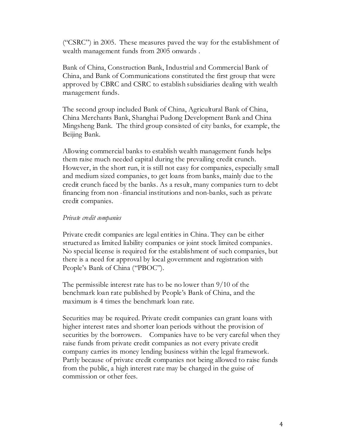("CSRC") in 2005. These measures paved the way for the establishment of wealth management funds from 2005 onwards .

Bank of China, Construction Bank, Industrial and Commercial Bank of China, and Bank of Communications constituted the first group that were approved by CBRC and CSRC to establish subsidiaries dealing with wealth management funds.

The second group included Bank of China, Agricultural Bank of China, China Merchants Bank, Shanghai Pudong Development Bank and China Mingsheng Bank. The third group consisted of city banks, for example, the Beijing Bank.

Allowing commercial banks to establish wealth management funds helps them raise much needed capital during the prevailing credit crunch. However, in the short run, it is still not easy for companies, especially small and medium sized companies, to get loans from banks, mainly due to the credit crunch faced by the banks. As a result, many companies turn to debt financing from non -financial institutions and non-banks, such as private credit companies.

#### Private credit companies

Private credit companies are legal entities in China. They can be either structured as limited liability companies or joint stock limited companies. No special license is required for the establishment of such companies, but there is a need for approval by local government and registration with People's Bank of China ("PBOC").

The permissible interest rate has to be no lower than 9/10 of the benchmark loan rate published by People's Bank of China, and the maximum is 4 times the benchmark loan rate.

Securities may be required. Private credit companies can grant loans with higher interest rates and shorter loan periods without the provision of securities by the borrowers. Companies have to be very careful when they raise funds from private credit companies as not every private credit company carries its money lending business within the legal framework. Partly because of private credit companies not being allowed to raise funds from the public, a high interest rate may be charged in the guise of commission or other fees.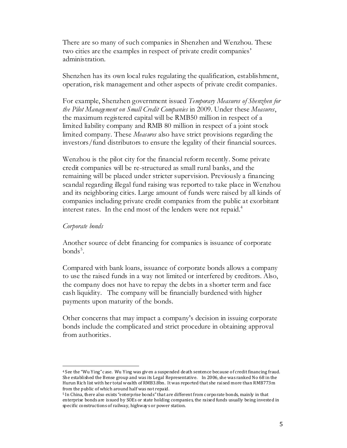There are so many of such companies in Shenzhen and Wenzhou. These two cities are the examples in respect of private credit companies' administration.

Shenzhen has its own local rules regulating the qualification, establishment, operation, risk management and other aspects of private credit companies.

For example, Shenzhen government issued Temporary Measures of Shenzhen for the Pilot Management on Small Credit Companies in 2009. Under these Measures, the maximum registered capital will be RMB50 million in respect of a limited liability company and RMB 80 million in respect of a joint stock limited company. These Measures also have strict provisions regarding the investors/fund distributors to ensure the legality of their financial sources.

Wenzhou is the pilot city for the financial reform recently. Some private credit companies will be re-structured as small rural banks, and the remaining will be placed under stricter supervision. Previously a financing scandal regarding illegal fund raising was reported to take place in Wenzhou and its neighboring cities. Large amount of funds were raised by all kinds of companies including private credit companies from the public at exorbitant interest rates. In the end most of the lenders were not repaid.<sup>4</sup>

#### Corporate bonds

 $\overline{a}$ 

Another source of debt financing for companies is issuance of corporate  $bonds<sup>5</sup>$ .

Compared with bank loans, issuance of corporate bonds allows a company to use the raised funds in a way not limited or interfered by creditors. Also, the company does not have to repay the debts in a shorter term and face cash liquidity. The company will be financially burdened with higher payments upon maturity of the bonds.

Other concerns that may impact a company's decision in issuing corporate bonds include the complicated and strict procedure in obtaining approval from authorities.

<sup>4</sup> See the "Wu Ying" case. Wu Ying was given a suspended death sentence because of credit financing fraud. She established the Bense group and was its Legal Representative. In 2006, she was ranked No 68 in the Hurun Rich list with her total wealth of RMB3.8bn. It was reported that she raised more than RMB773m from the public of which around half was not repaid.

<sup>5</sup> In China, there also exists "enterprise bonds" that are different from corporate bonds, mainly in that enterprise bonds are issued by SOEs or state holding companies, the raised funds usually being invested in specific constructions of railway, highways or power station.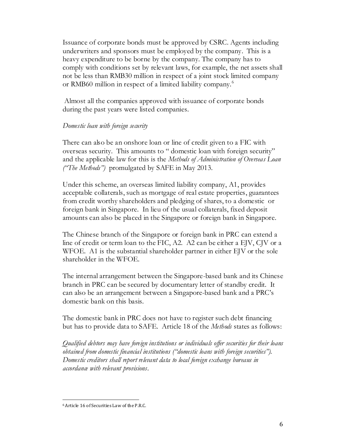Issuance of corporate bonds must be approved by CSRC. Agents including underwriters and sponsors must be employed by the company. This is a heavy expenditure to be borne by the company. The company has to comply with conditions set by relevant laws, for example, the net assets shall not be less than RMB30 million in respect of a joint stock limited company or RMB60 million in respect of a limited liability company. 6

 Almost all the companies approved with issuance of corporate bonds during the past years were listed companies.

## Domestic loan with foreign security

There can also be an onshore loan or line of credit given to a FIC with overseas security. This amounts to " domestic loan with foreign security" and the applicable law for this is the Methods of Administration of Overseas Loan ("The Methods") promulgated by SAFE in May 2013.

Under this scheme, an overseas limited liability company, A1, provides acceptable collaterals, such as mortgage of real estate properties, guarantees from credit worthy shareholders and pledging of shares, to a domestic or foreign bank in Singapore. In lieu of the usual collaterals, fixed deposit amounts can also be placed in the Singapore or foreign bank in Singapore.

The Chinese branch of the Singapore or foreign bank in PRC can extend a line of credit or term loan to the FIC, A2. A2 can be either a EJV, CJV or a WFOE. A1 is the substantial shareholder partner in either EJV or the sole shareholder in the WFOE.

The internal arrangement between the Singapore-based bank and its Chinese branch in PRC can be secured by documentary letter of standby credit. It can also be an arrangement between a Singapore-based bank and a PRC's domestic bank on this basis.

The domestic bank in PRC does not have to register such debt financing but has to provide data to SAFE. Article 18 of the Methods states as follows:

Qualified debtors may have foreign institutions or individuals offer securities for their loans obtained from domestic financial institutions ("domestic loans with foreign securities"). Domestic creditors shall report relevant data to local foreign exchange bureaus in accordance with relevant provisions.

<sup>-</sup>6 Article 16 of Securities Law of the P.R.C.